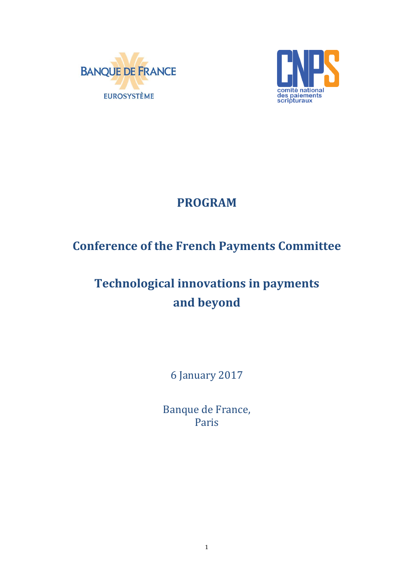



## **PROGRAM**

## **Conference of the French Payments Committee**

# **Technological innovations in payments and beyond**

6 January 2017

Banque de France, Paris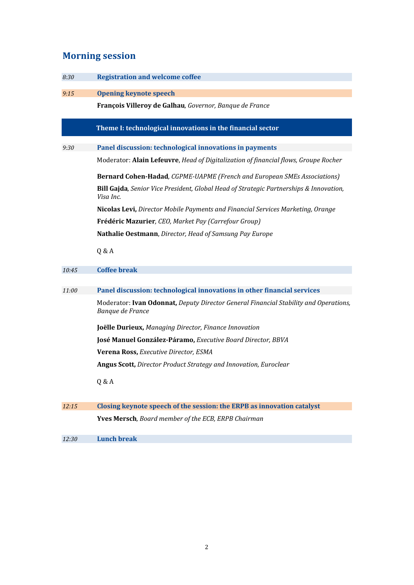### **Morning session**

| 8:30  | <b>Registration and welcome coffee</b>                                                                   |
|-------|----------------------------------------------------------------------------------------------------------|
| 9:15  | <b>Opening keynote speech</b>                                                                            |
|       | François Villeroy de Galhau, Governor, Banque de France                                                  |
|       | Theme I: technological innovations in the financial sector                                               |
| 9:30  | Panel discussion: technological innovations in payments                                                  |
|       | Moderator: Alain Lefeuvre, Head of Digitalization of financial flows, Groupe Rocher                      |
|       | <b>Bernard Cohen-Hadad, CGPME-UAPME (French and European SMEs Associations)</b>                          |
|       | Bill Gajda, Senior Vice President, Global Head of Strategic Partnerships & Innovation,<br>Visa Inc.      |
|       | Nicolas Levi, Director Mobile Payments and Financial Services Marketing, Orange                          |
|       | Frédéric Mazurier, CEO, Market Pay (Carrefour Group)                                                     |
|       | Nathalie Oestmann, Director, Head of Samsung Pay Europe                                                  |
|       | Q & A                                                                                                    |
| 10:45 | <b>Coffee break</b>                                                                                      |
|       |                                                                                                          |
| 11:00 | Panel discussion: technological innovations in other financial services                                  |
|       | Moderator: Ivan Odonnat, Deputy Director General Financial Stability and Operations,<br>Banque de France |
|       | Joëlle Durieux, Managing Director, Finance Innovation                                                    |
|       | José Manuel González-Páramo, Executive Board Director, BBVA                                              |
|       | Verena Ross, Executive Director, ESMA                                                                    |
|       | Angus Scott, Director Product Strategy and Innovation, Euroclear                                         |
|       | Q & A                                                                                                    |
| 12:15 | Closing keynote speech of the session: the ERPB as innovation catalyst                                   |
|       | Yves Mersch, Board member of the ECB, ERPB Chairman                                                      |
| 12:30 | <b>Lunch break</b>                                                                                       |